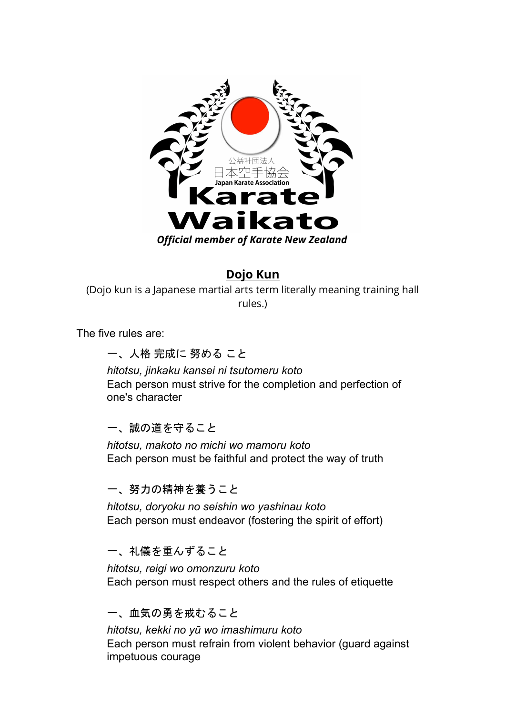

#### **Dojo Kun**

(Dojo kun is a [Japanese martial arts](http://en.wikipedia.org/wiki/Japanese_martial_arts) term literally meaning training hall rules.)

The five rules are:

一、人格 完成に 努める こと

*hitotsu, jinkaku kansei ni tsutomeru koto* Each person must strive for the completion and perfection of one's character

一、誠の道を守ること

*hitotsu, makoto no michi wo mamoru koto* Each person must be faithful and protect the way of truth

一、努力の精神を養うこと

*hitotsu, doryoku no seishin wo yashinau koto* Each person must endeavor (fostering the spirit of effort)

一、礼儀を重んずること

*hitotsu, reigi wo omonzuru koto* Each person must respect others and the rules of etiquette

#### 一、血気の勇を戒むること

*hitotsu, kekki no yū wo imashimuru koto* Each person must refrain from violent behavior (guard against impetuous courage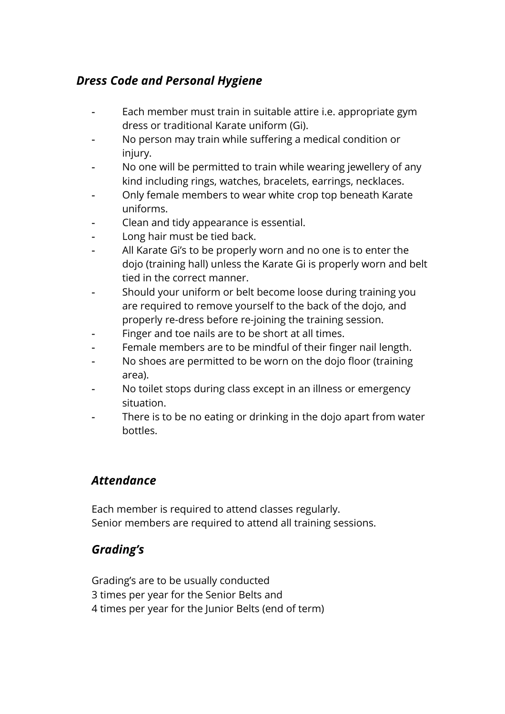# *Dress Code and Personal Hygiene*

- Each member must train in suitable attire *i.e.* appropriate gym dress or traditional Karate uniform (Gi).
- No person may train while suffering a medical condition or injury.
- No one will be permitted to train while wearing jewellery of any kind including rings, watches, bracelets, earrings, necklaces.
- Only female members to wear white crop top beneath Karate uniforms.
- Clean and tidy appearance is essential.
- Long hair must be tied back.
- All Karate Gi's to be properly worn and no one is to enter the dojo (training hall) unless the Karate Gi is properly worn and belt tied in the correct manner.
- Should your uniform or belt become loose during training you are required to remove yourself to the back of the dojo, and properly re-dress before re-joining the training session.
- Finger and toe nails are to be short at all times.
- Female members are to be mindful of their finger nail length.
- No shoes are permitted to be worn on the dojo floor (training area).
- No toilet stops during class except in an illness or emergency situation.
- There is to be no eating or drinking in the dojo apart from water bottles.

#### *Attendance*

Each member is required to attend classes regularly. Senior members are required to attend all training sessions.

# *Grading's*

Grading's are to be usually conducted 3 times per year for the Senior Belts and 4 times per year for the Junior Belts (end of term)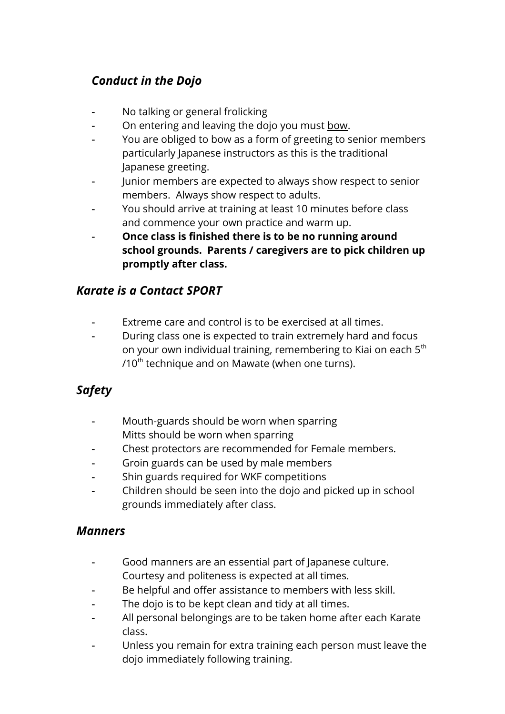# *Conduct in the Dojo*

- No talking or general frolicking
- On entering and leaving the dojo you must bow.
- You are obliged to bow as a form of greeting to senior members particularly Japanese instructors as this is the traditional Japanese greeting.
- Junior members are expected to always show respect to senior members. Always show respect to adults.
- You should arrive at training at least 10 minutes before class and commence your own practice and warm up.
- **Once class is finished there is to be no running around school grounds. Parents / caregivers are to pick children up promptly after class.**

#### *Karate is a Contact SPORT*

- Extreme care and control is to be exercised at all times.
- During class one is expected to train extremely hard and focus on your own individual training, remembering to Kiai on each  $5<sup>th</sup>$  $/10^{th}$  technique and on Mawate (when one turns).

# *Safety*

- Mouth-guards should be worn when sparring Mitts should be worn when sparring
- Chest protectors are recommended for Female members.
- Groin guards can be used by male members
- Shin guards required for WKF competitions
- Children should be seen into the dojo and picked up in school grounds immediately after class.

#### *Manners*

- Good manners are an essential part of Japanese culture. Courtesy and politeness is expected at all times.
- Be helpful and offer assistance to members with less skill.
- The dojo is to be kept clean and tidy at all times.
- All personal belongings are to be taken home after each Karate class.
- Unless you remain for extra training each person must leave the dojo immediately following training.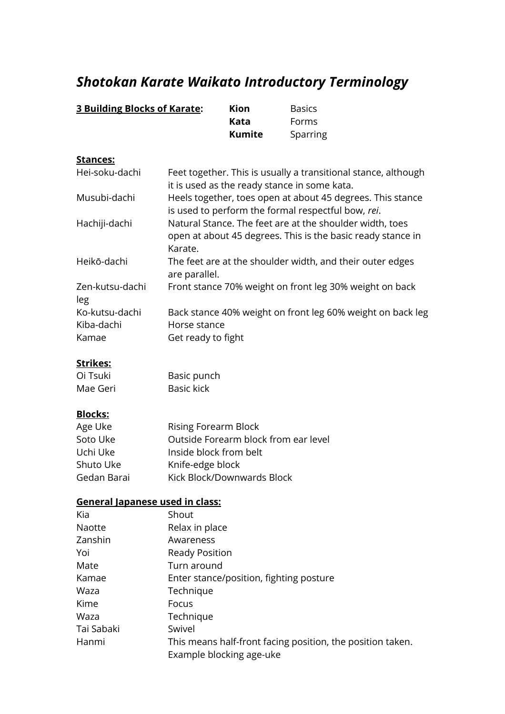# *Shotokan Karate Waikato Introductory Terminology*

| <b>3 Building Blocks of Karate:</b> |                                                                                                                                    | Kion                                    | <b>Basics</b>                                              |  |
|-------------------------------------|------------------------------------------------------------------------------------------------------------------------------------|-----------------------------------------|------------------------------------------------------------|--|
|                                     |                                                                                                                                    | <b>Kata</b>                             | Forms                                                      |  |
|                                     |                                                                                                                                    | <b>Kumite</b>                           | Sparring                                                   |  |
| Stances:                            |                                                                                                                                    |                                         |                                                            |  |
| Hei-soku-dachi                      | Feet together. This is usually a transitional stance, although<br>it is used as the ready stance in some kata.                     |                                         |                                                            |  |
| Musubi-dachi                        | Heels together, toes open at about 45 degrees. This stance<br>is used to perform the formal respectful bow, rei.                   |                                         |                                                            |  |
| Hachiji-dachi                       | Natural Stance. The feet are at the shoulder width, toes<br>open at about 45 degrees. This is the basic ready stance in<br>Karate. |                                         |                                                            |  |
| Heikō-dachi                         | The feet are at the shoulder width, and their outer edges<br>are parallel.                                                         |                                         |                                                            |  |
| Zen-kutsu-dachi<br>leg              |                                                                                                                                    |                                         | Front stance 70% weight on front leg 30% weight on back    |  |
| Ko-kutsu-dachi                      | Back stance 40% weight on front leg 60% weight on back leg                                                                         |                                         |                                                            |  |
| Kiba-dachi                          | Horse stance                                                                                                                       |                                         |                                                            |  |
| Kamae                               | Get ready to fight                                                                                                                 |                                         |                                                            |  |
| Strikes:                            |                                                                                                                                    |                                         |                                                            |  |
| Oi Tsuki                            | Basic punch                                                                                                                        |                                         |                                                            |  |
| Mae Geri                            | <b>Basic kick</b>                                                                                                                  |                                         |                                                            |  |
| <b>Blocks:</b>                      |                                                                                                                                    |                                         |                                                            |  |
| Age Uke                             | <b>Rising Forearm Block</b>                                                                                                        |                                         |                                                            |  |
| Soto Uke                            |                                                                                                                                    | Outside Forearm block from ear level    |                                                            |  |
| Uchi Uke                            | Inside block from belt                                                                                                             |                                         |                                                            |  |
| Shuto Uke                           | Knife-edge block                                                                                                                   |                                         |                                                            |  |
| Gedan Barai                         |                                                                                                                                    | Kick Block/Downwards Block              |                                                            |  |
| General Japanese used in class:     |                                                                                                                                    |                                         |                                                            |  |
| Kia                                 | Shout                                                                                                                              |                                         |                                                            |  |
| <b>Naotte</b>                       | Relax in place                                                                                                                     |                                         |                                                            |  |
| Zanshin                             | Awareness                                                                                                                          |                                         |                                                            |  |
| Yoi                                 | <b>Ready Position</b>                                                                                                              |                                         |                                                            |  |
| Mate                                | Turn around                                                                                                                        |                                         |                                                            |  |
| Kamae                               |                                                                                                                                    | Enter stance/position, fighting posture |                                                            |  |
| Waza                                | Technique                                                                                                                          |                                         |                                                            |  |
| Kime                                | Focus                                                                                                                              |                                         |                                                            |  |
| Waza                                | Technique                                                                                                                          |                                         |                                                            |  |
| Tai Sabaki                          | Swivel                                                                                                                             |                                         |                                                            |  |
| Hanmi                               |                                                                                                                                    | Example blocking age-uke                | This means half-front facing position, the position taken. |  |